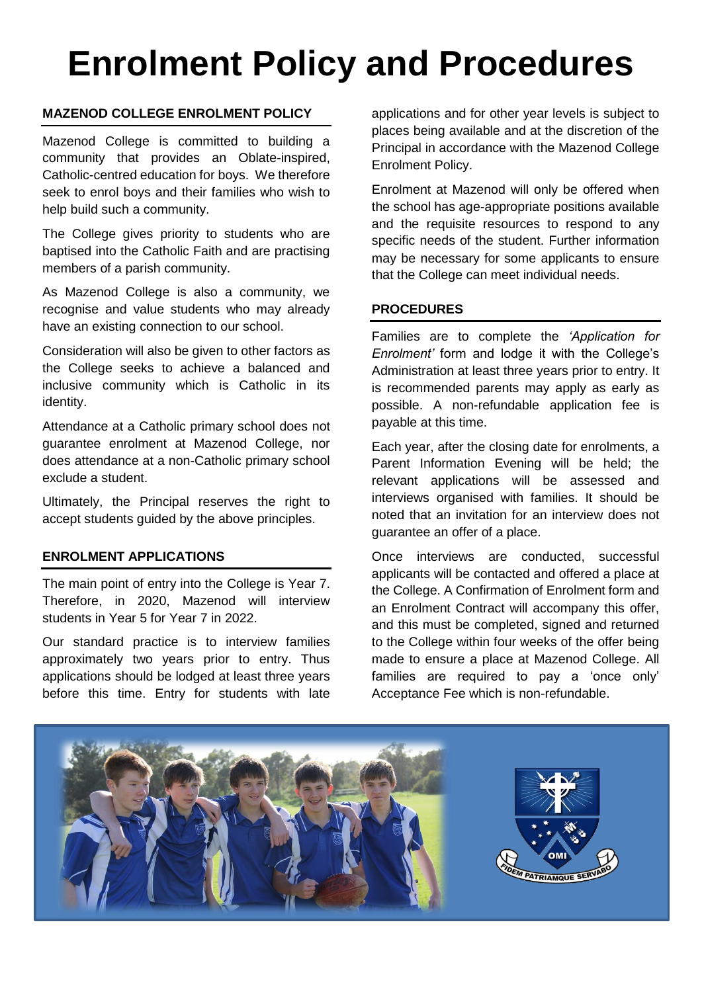# **Enrolment Policy and Procedures**

### **MAZENOD COLLEGE ENROLMENT POLICY**

Mazenod College is committed to building a community that provides an Oblate-inspired, Catholic-centred education for boys. We therefore seek to enrol boys and their families who wish to help build such a community.

The College gives priority to students who are baptised into the Catholic Faith and are practising members of a parish community.

As Mazenod College is also a community, we recognise and value students who may already have an existing connection to our school.

Consideration will also be given to other factors as the College seeks to achieve a balanced and inclusive community which is Catholic in its identity.

Attendance at a Catholic primary school does not guarantee enrolment at Mazenod College, nor does attendance at a non-Catholic primary school exclude a student.

Ultimately, the Principal reserves the right to accept students guided by the above principles.

### **ENROLMENT APPLICATIONS**

The main point of entry into the College is Year 7. Therefore, in 2020, Mazenod will interview students in Year 5 for Year 7 in 2022.

Our standard practice is to interview families approximately two years prior to entry. Thus applications should be lodged at least three years before this time. Entry for students with late applications and for other year levels is subject to places being available and at the discretion of the Principal in accordance with the Mazenod College Enrolment Policy.

Enrolment at Mazenod will only be offered when the school has age-appropriate positions available and the requisite resources to respond to any specific needs of the student. Further information may be necessary for some applicants to ensure that the College can meet individual needs.

### **PROCEDURES**

Families are to complete the *'Application for Enrolment'* form and lodge it with the College's Administration at least three years prior to entry. It is recommended parents may apply as early as possible. A non-refundable application fee is payable at this time.

Each year, after the closing date for enrolments, a Parent Information Evening will be held; the relevant applications will be assessed and interviews organised with families. It should be noted that an invitation for an interview does not guarantee an offer of a place.

Once interviews are conducted, successful applicants will be contacted and offered a place at the College. A Confirmation of Enrolment form and an Enrolment Contract will accompany this offer, and this must be completed, signed and returned to the College within four weeks of the offer being made to ensure a place at Mazenod College. All families are required to pay a 'once only' Acceptance Fee which is non-refundable.